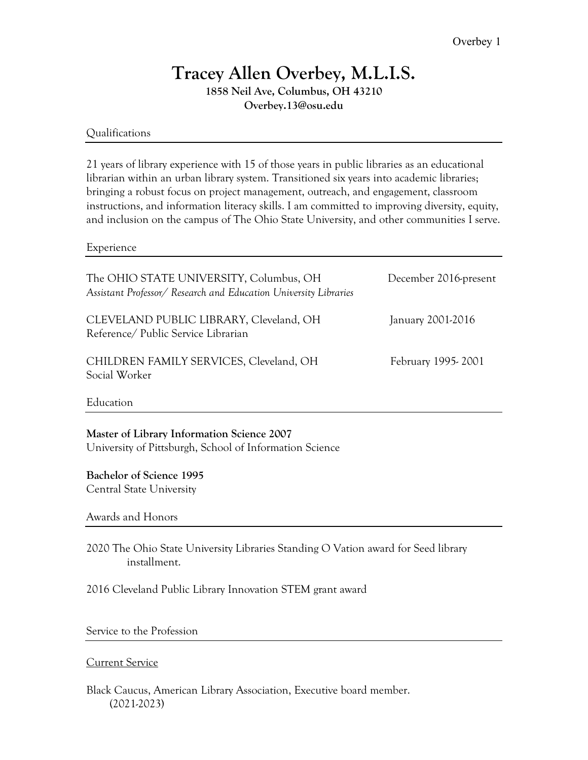# **Tracey Allen Overbey, M.L.I.S.**

**1858 Neil Ave, Columbus, OH 43210 Overbey.13@osu.edu**

## Qualifications

21 years of library experience with 15 of those years in public libraries as an educational librarian within an urban library system. Transitioned six years into academic libraries; bringing a robust focus on project management, outreach, and engagement, classroom instructions, and information literacy skills. I am committed to improving diversity, equity, and inclusion on the campus of The Ohio State University, and other communities I serve.

#### Experience

| The OHIO STATE UNIVERSITY, Columbus, OH<br>Assistant Professor/ Research and Education University Libraries | December 2016-present |
|-------------------------------------------------------------------------------------------------------------|-----------------------|
| CLEVELAND PUBLIC LIBRARY, Cleveland, OH<br>Reference/ Public Service Librarian                              | January 2001-2016     |
| CHILDREN FAMILY SERVICES, Cleveland, OH<br>Social Worker                                                    | February 1995-2001    |

Education

**Master of Library Information Science 2007** University of Pittsburgh, School of Information Science

## **Bachelor of Science 1995**

Central State University

Awards and Honors

2020 The Ohio State University Libraries Standing O Vation award for Seed library installment.

2016 Cleveland Public Library Innovation STEM grant award

Service to the Profession

## Current Service

Black Caucus, American Library Association, Executive board member. (2021-2023)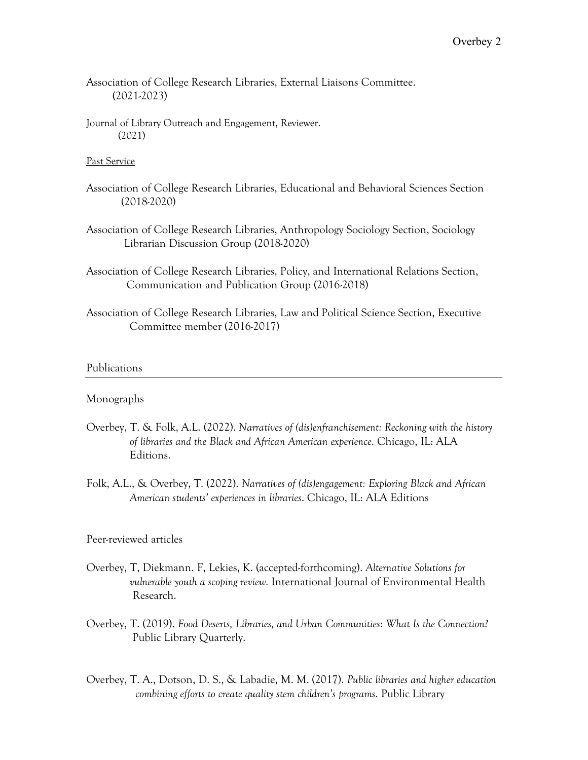Association of College Research Libraries, External Liaisons Committee. (2021-2023)

Journal of Library Outreach and Engagement, Reviewer. (2021)

#### Past Service

- Association of College Research Libraries, Educational and Behavioral Sciences Section (2018-2020)
- Association of College Research Libraries, Anthropology Sociology Section, Sociology Librarian Discussion Group (2018-2020)
- Association of College Research Libraries, Policy, and International Relations Section, Communication and Publication Group (2016-2018)
- Association of College Research Libraries, Law and Political Science Section, Executive Committee member (2016-2017)

#### Publications

#### Monographs

- Overbey, T. & Folk, A.L. (2022). *Narratives of (dis)enfranchisement: Reckoning with the history of libraries and the Black and African American experience*. Chicago, IL: ALA Editions.
- Folk, A.L., & Overbey, T. (2022). *Narratives of (dis)engagement: Exploring Black and African American students' experiences in libraries*. Chicago, IL: ALA Editions

#### Peer-reviewed articles

- Overbey, T, Diekmann. F, Lekies, K. (accepted-forthcoming). *Alternative Solutions for vulnerable youth a scoping review.* International Journal of Environmental Health Research.
- Overbey, T. (2019). *Food Deserts, Libraries, and Urban Communities: What Is the Connection?* Public Library Quarterly.
- Overbey, T. A., Dotson, D. S., & Labadie, M. M. (2017). *Public libraries and higher education combining efforts to create quality stem children's programs*. Public Library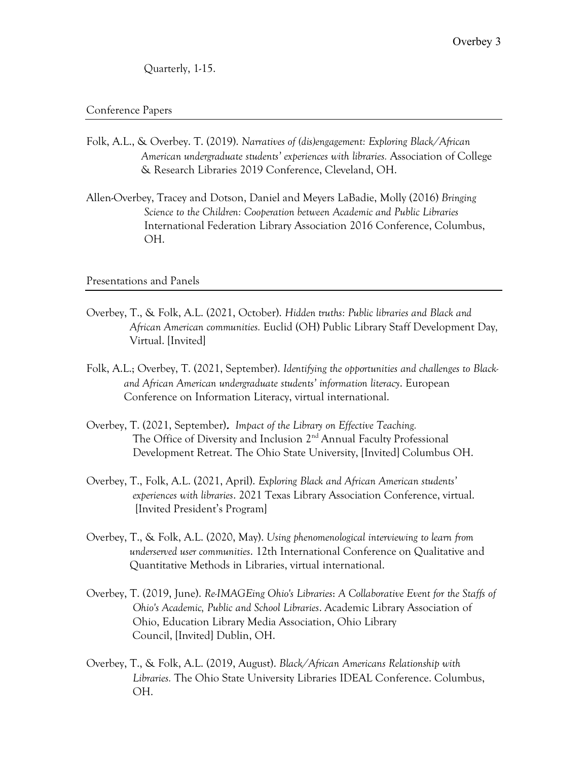Quarterly, 1-15.

#### Conference Papers

- Folk, A.L., & Overbey. T. (2019). *Narratives of (dis)engagement: Exploring Black/African American undergraduate students' experiences with libraries.* Association of College & Research Libraries 2019 Conference, Cleveland, OH.
- Allen-Overbey, Tracey and Dotson, Daniel and Meyers LaBadie, Molly (2016) *Bringing Science to the Children: Cooperation between Academic and Public Libraries* International Federation Library Association 2016 Conference, Columbus, OH.

#### Presentations and Panels

- Overbey, T., & Folk, A.L. (2021, October). *Hidden truths: Public libraries and Black and African American communities.* Euclid (OH) Public Library Staff Development Day*,* Virtual. [Invited]
- Folk, A.L.; Overbey, T. (2021, September). *Identifying the opportunities and challenges to Black and African American undergraduate students' information literacy*. European Conference on Information Literacy, virtual international.
- Overbey, T. (2021, September). *Impact of the Library on Effective Teaching.* The Office of Diversity and Inclusion 2<sup>nd</sup> Annual Faculty Professional Development Retreat. The Ohio State University, [Invited] Columbus OH.
- Overbey, T., Folk, A.L. (2021, April). *Exploring Black and African American students' experiences with libraries*. 2021 Texas Library Association Conference, virtual. [Invited President's Program]
- Overbey, T., & Folk, A.L. (2020, May). *Using phenomenological interviewing to learn from underserved user communities*. 12th International Conference on Qualitative and Quantitative Methods in Libraries, virtual international.
- Overbey, T. (2019, June). *Re-IMAGEing Ohio's Libraries*: *A Collaborative Event for the Staffs of Ohio's Academic, Public and School Libraries*. Academic Library Association of Ohio, Education Library Media Association, Ohio Library Council, [Invited] Dublin, OH.
- Overbey, T., & Folk, A.L. (2019, August). *Black/African Americans Relationship with Libraries.* The Ohio State University Libraries IDEAL Conference. Columbus, OH.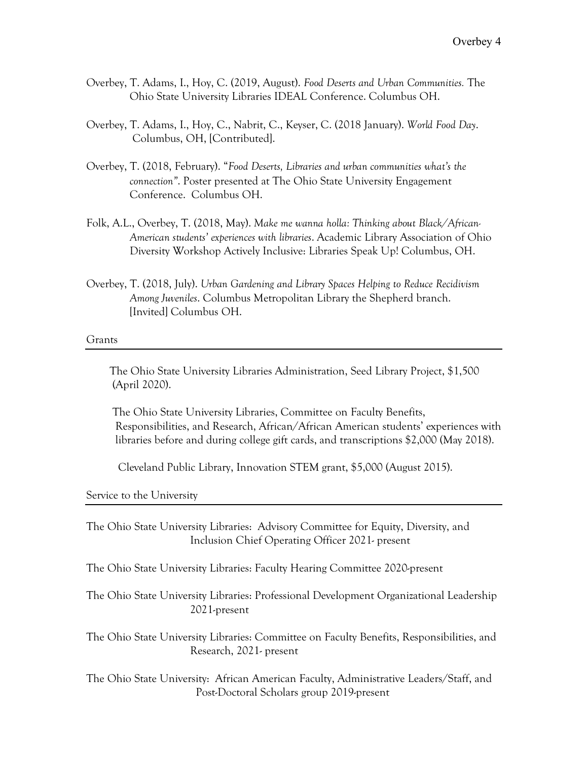- Overbey, T. Adams, I., Hoy, C. (2019, August). *Food Deserts and Urban Communities.* The Ohio State University Libraries IDEAL Conference. Columbus OH.
- Overbey, T. Adams, I., Hoy, C., Nabrit, C., Keyser, C. (2018 January). *World Food Day*. Columbus, OH, [Contributed].
- Overbey, T. (2018, February). "*Food Deserts, Libraries and urban communities what's the connection"*. Poster presented at The Ohio State University Engagement Conference. Columbus OH.
- Folk, A.L., Overbey, T. (2018, May). *Make me wanna holla: Thinking about Black/African- American students' experiences with libraries*. Academic Library Association of Ohio Diversity Workshop Actively Inclusive: Libraries Speak Up! Columbus, OH.
- Overbey, T. (2018, July). *Urban Gardening and Library Spaces Helping to Reduce Recidivism Among Juveniles*. Columbus Metropolitan Library the Shepherd branch. [Invited] Columbus OH.

#### Grants

 The Ohio State University Libraries Administration, Seed Library Project, \$1,500 (April 2020).

 The Ohio State University Libraries, Committee on Faculty Benefits, Responsibilities, and Research, African/African American students' experiences with libraries before and during college gift cards, and transcriptions \$2,000 (May 2018).

Cleveland Public Library, Innovation STEM grant, \$5,000 (August 2015).

Service to the University

The Ohio State University Libraries: Advisory Committee for Equity, Diversity, and Inclusion Chief Operating Officer 2021- present

The Ohio State University Libraries: Faculty Hearing Committee 2020-present

The Ohio State University Libraries: Professional Development Organizational Leadership 2021-present

The Ohio State University Libraries: Committee on Faculty Benefits, Responsibilities, and Research, 2021- present

The Ohio State University: African American Faculty, Administrative Leaders/Staff, and Post-Doctoral Scholars group 2019-present